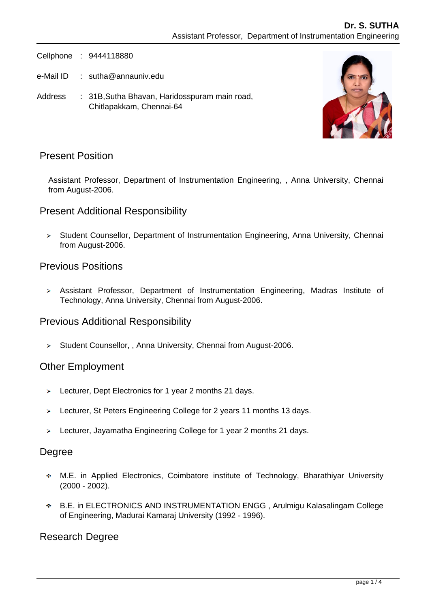Cellphone : 9444118880

e-Mail ID : sutha@annauniv.edu

Address : 31B, Sutha Bhavan, Haridosspuram main road, Chitlapakkam, Chennai-64



## Present Position

Assistant Professor, Department of Instrumentation Engineering, , Anna University, Chennai from August-2006.

## Present Additional Responsibility

> Student Counsellor, Department of Instrumentation Engineering, Anna University, Chennai from August-2006.

### Previous Positions

Assistant Professor, Department of Instrumentation Engineering, Madras Institute of Technology, Anna University, Chennai from August-2006.

## Previous Additional Responsibility

 $\geq$  Student Counsellor, , Anna University, Chennai from August-2006.

### Other Employment

- Lecturer, Dept Electronics for 1 year 2 months 21 days.
- > Lecturer, St Peters Engineering College for 2 years 11 months 13 days.
- > Lecturer, Jayamatha Engineering College for 1 year 2 months 21 days.

### Degree

- M.E. in Applied Electronics, Coimbatore institute of Technology, Bharathiyar University (2000 - 2002).
- B.E. in ELECTRONICS AND INSTRUMENTATION ENGG , Arulmigu Kalasalingam College of Engineering, Madurai Kamaraj University (1992 - 1996).

### Research Degree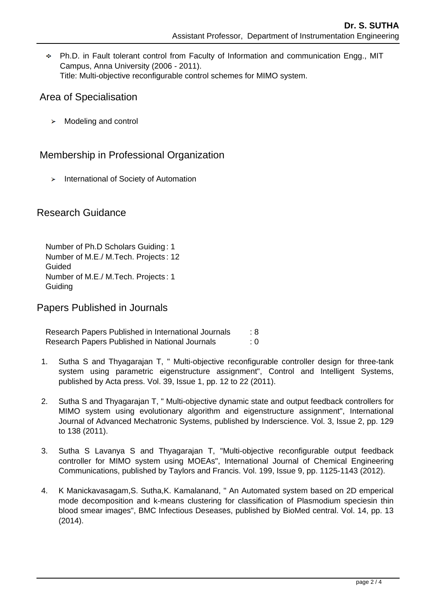Ph.D. in Fault tolerant control from Faculty of Information and communication Engg., MIT Campus, Anna University (2006 - 2011). Title: Multi-objective reconfigurable control schemes for MIMO system.

## Area of Specialisation

> Modeling and control

# Membership in Professional Organization

 $\blacktriangleright$  International of Society of Automation

# Research Guidance

Number of Ph.D Scholars Guiding : 1 Number of M.E./ M.Tech. Projects : 12 Guided Number of M.E./ M.Tech. Projects : 1 **Guiding** 

# Papers Published in Journals

Research Papers Published in International Journals : 8 Research Papers Published in National Journals : 0

- 1. Sutha S and Thyagarajan T, " Multi-objective reconfigurable controller design for three-tank system using parametric eigenstructure assignment", Control and Intelligent Systems, published by Acta press. Vol. 39, Issue 1, pp. 12 to 22 (2011).
- 2. Sutha S and Thyagarajan T, " Multi-objective dynamic state and output feedback controllers for MIMO system using evolutionary algorithm and eigenstructure assignment", International Journal of Advanced Mechatronic Systems, published by Inderscience. Vol. 3, Issue 2, pp. 129 to 138 (2011).
- 3. Sutha S Lavanya S and Thyagarajan T, "Multi-objective reconfigurable output feedback controller for MIMO system using MOEAs", International Journal of Chemical Engineering Communications, published by Taylors and Francis. Vol. 199, Issue 9, pp. 1125-1143 (2012).
- 4. K Manickavasagam,S. Sutha,K. Kamalanand, " An Automated system based on 2D emperical mode decomposition and k-means clustering for classification of Plasmodium speciesin thin blood smear images", BMC Infectious Deseases, published by BioMed central. Vol. 14, pp. 13 (2014).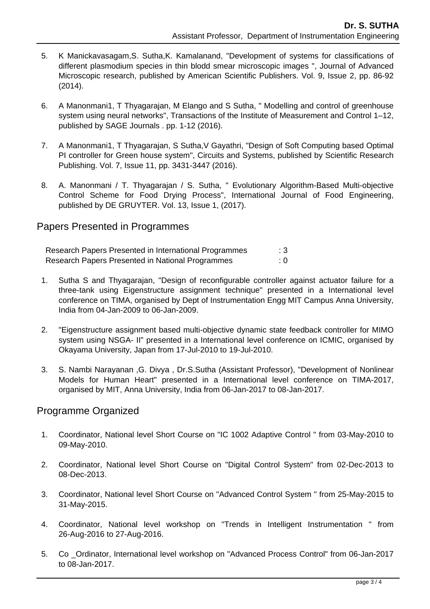- 5. K Manickavasagam,S. Sutha,K. Kamalanand, "Development of systems for classifications of different plasmodium species in thin blodd smear microscopic images ", Journal of Advanced Microscopic research, published by American Scientific Publishers. Vol. 9, Issue 2, pp. 86-92 (2014).
- 6. A Manonmani1, T Thyagarajan, M Elango and S Sutha, " Modelling and control of greenhouse system using neural networks", Transactions of the Institute of Measurement and Control 1–12, published by SAGE Journals . pp. 1-12 (2016).
- 7. A Manonmani1, T Thyagarajan, S Sutha,V Gayathri, "Design of Soft Computing based Optimal PI controller for Green house system", Circuits and Systems, published by Scientific Research Publishing. Vol. 7, Issue 11, pp. 3431-3447 (2016).
- 8. A. Manonmani / T. Thyagarajan / S. Sutha, " Evolutionary Algorithm-Based Multi-objective Control Scheme for Food Drying Process", International Journal of Food Engineering, published by DE GRUYTER. Vol. 13, Issue 1, (2017).

## Papers Presented in Programmes

Research Papers Presented in International Programmes : 3 Research Papers Presented in National Programmes : 0

- 1. Sutha S and Thyagarajan, "Design of reconfigurable controller against actuator failure for a three-tank using Eigenstructure assignment technique" presented in a International level conference on TIMA, organised by Dept of Instrumentation Engg MIT Campus Anna University, India from 04-Jan-2009 to 06-Jan-2009.
- 2. "Eigenstructure assignment based multi-objective dynamic state feedback controller for MIMO system using NSGA- II" presented in a International level conference on ICMIC, organised by Okayama University, Japan from 17-Jul-2010 to 19-Jul-2010.
- 3. S. Nambi Narayanan ,G. Divya , Dr.S.Sutha (Assistant Professor), "Development of Nonlinear Models for Human Heart" presented in a International level conference on TIMA-2017, organised by MIT, Anna University, India from 06-Jan-2017 to 08-Jan-2017.

## Programme Organized

- 1. Coordinator, National level Short Course on "IC 1002 Adaptive Control " from 03-May-2010 to 09-May-2010.
- 2. Coordinator, National level Short Course on "Digital Control System" from 02-Dec-2013 to 08-Dec-2013.
- 3. Coordinator, National level Short Course on "Advanced Control System " from 25-May-2015 to 31-May-2015.
- 4. Coordinator, National level workshop on "Trends in Intelligent Instrumentation " from 26-Aug-2016 to 27-Aug-2016.
- 5. Co \_Ordinator, International level workshop on "Advanced Process Control" from 06-Jan-2017 to 08-Jan-2017.